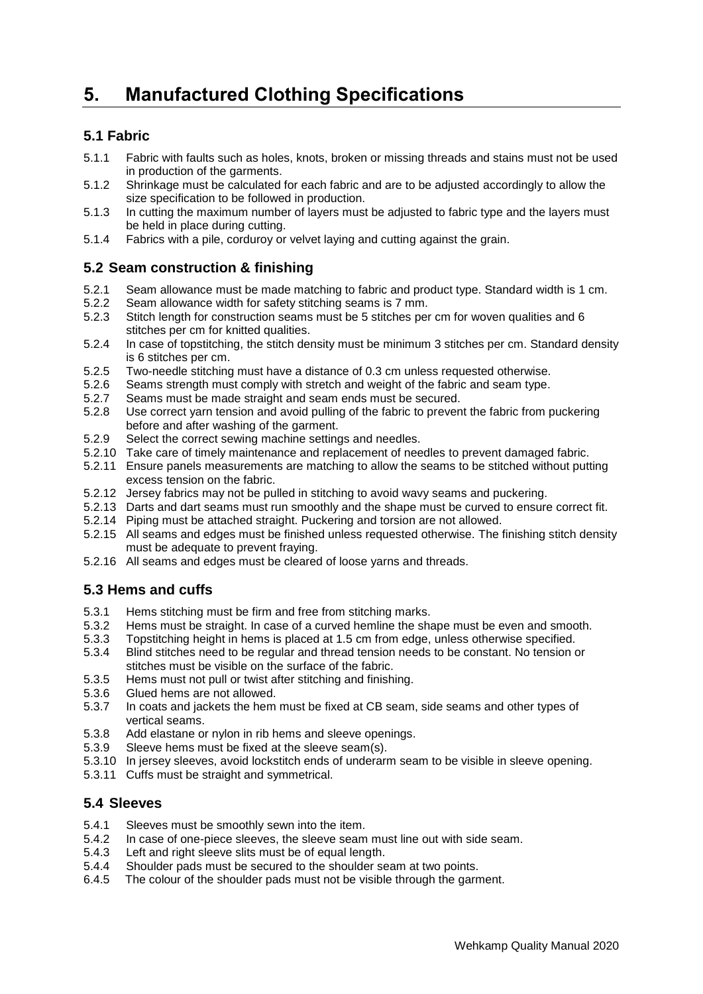# **5. Manufactured Clothing Specifications**

## **5.1 Fabric**

- 5.1.1 Fabric with faults such as holes, knots, broken or missing threads and stains must not be used in production of the garments.
- 5.1.2 Shrinkage must be calculated for each fabric and are to be adjusted accordingly to allow the size specification to be followed in production.
- 5.1.3 In cutting the maximum number of layers must be adjusted to fabric type and the layers must be held in place during cutting.
- 5.1.4 Fabrics with a pile, corduroy or velvet laying and cutting against the grain.

#### **5.2 Seam construction & finishing**

- 5.2.1 Seam allowance must be made matching to fabric and product type. Standard width is 1 cm.<br>5.2.2 Seam allowance width for safety stitching seams is 7 mm.
- Seam allowance width for safety stitching seams is 7 mm.
- 5.2.3 Stitch length for construction seams must be 5 stitches per cm for woven qualities and 6 stitches per cm for knitted qualities.
- 5.2.4 In case of topstitching, the stitch density must be minimum 3 stitches per cm. Standard density is 6 stitches per cm.
- 5.2.5 Two-needle stitching must have a distance of 0.3 cm unless requested otherwise.
- 5.2.6 Seams strength must comply with stretch and weight of the fabric and seam type.
- 5.2.7 Seams must be made straight and seam ends must be secured.
- 5.2.8 Use correct yarn tension and avoid pulling of the fabric to prevent the fabric from puckering before and after washing of the garment.
- 5.2.9 Select the correct sewing machine settings and needles.
- 5.2.10 Take care of timely maintenance and replacement of needles to prevent damaged fabric.
- 5.2.11 Ensure panels measurements are matching to allow the seams to be stitched without putting excess tension on the fabric.
- 5.2.12 Jersey fabrics may not be pulled in stitching to avoid wavy seams and puckering.
- 5.2.13 Darts and dart seams must run smoothly and the shape must be curved to ensure correct fit.
- 5.2.14 Piping must be attached straight. Puckering and torsion are not allowed.
- 5.2.15 All seams and edges must be finished unless requested otherwise. The finishing stitch density must be adequate to prevent fraying.
- 5.2.16 All seams and edges must be cleared of loose yarns and threads.

#### **5.3 Hems and cuffs**

- 5.3.1 Hems stitching must be firm and free from stitching marks.
- 5.3.2 Hems must be straight. In case of a curved hemline the shape must be even and smooth.
- 5.3.3 Topstitching height in hems is placed at 1.5 cm from edge, unless otherwise specified.
- 5.3.4 Blind stitches need to be regular and thread tension needs to be constant. No tension or stitches must be visible on the surface of the fabric.
- 5.3.5 Hems must not pull or twist after stitching and finishing.
- 5.3.6 Glued hems are not allowed.
- 5.3.7 In coats and jackets the hem must be fixed at CB seam, side seams and other types of vertical seams.
- 5.3.8 Add elastane or nylon in rib hems and sleeve openings.
- 5.3.9 Sleeve hems must be fixed at the sleeve seam(s).
- 5.3.10 In jersey sleeves, avoid lockstitch ends of underarm seam to be visible in sleeve opening.
- 5.3.11 Cuffs must be straight and symmetrical.

### **5.4 Sleeves**

- 5.4.1 Sleeves must be smoothly sewn into the item.
- 5.4.2 In case of one-piece sleeves, the sleeve seam must line out with side seam.
- 5.4.3 Left and right sleeve slits must be of equal length.
- 5.4.4 Shoulder pads must be secured to the shoulder seam at two points.
- 6.4.5 The colour of the shoulder pads must not be visible through the garment.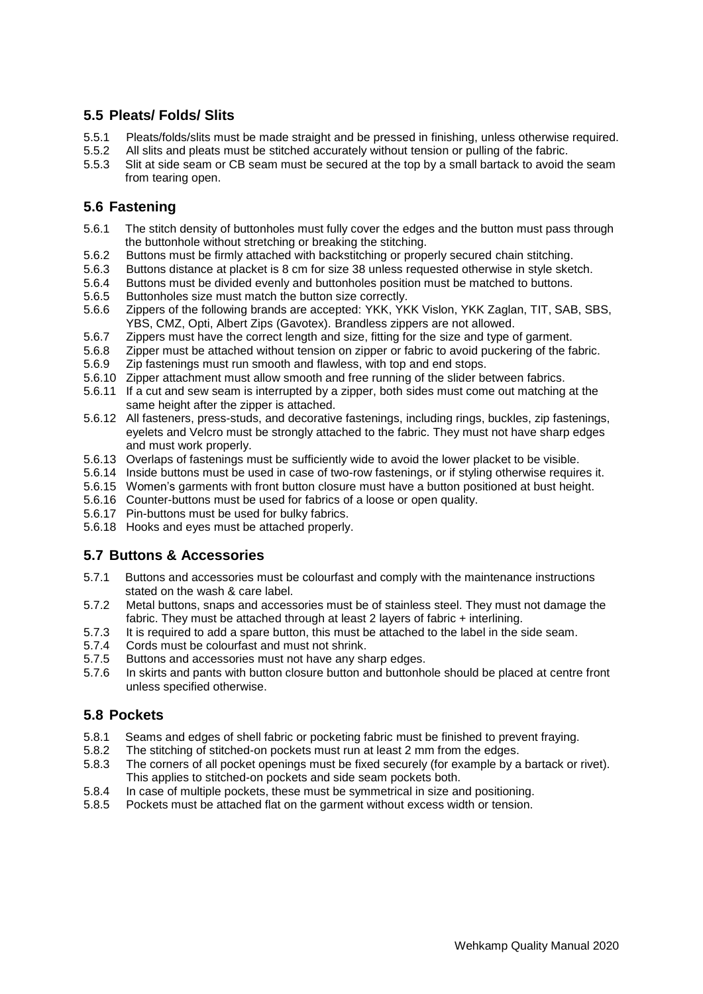## **5.5 Pleats/ Folds/ Slits**

- 5.5.1 Pleats/folds/slits must be made straight and be pressed in finishing, unless otherwise required.
- 5.5.2 All slits and pleats must be stitched accurately without tension or pulling of the fabric.
- 5.5.3 Slit at side seam or CB seam must be secured at the top by a small bartack to avoid the seam from tearing open.

#### **5.6 Fastening**

- 5.6.1 The stitch density of buttonholes must fully cover the edges and the button must pass through the buttonhole without stretching or breaking the stitching.
- 5.6.2 Buttons must be firmly attached with backstitching or properly secured chain stitching.
- 5.6.3 Buttons distance at placket is 8 cm for size 38 unless requested otherwise in style sketch.
- 5.6.4 Buttons must be divided evenly and buttonholes position must be matched to buttons.
- 5.6.5 Buttonholes size must match the button size correctly.
- 5.6.6 Zippers of the following brands are accepted: YKK, YKK Vislon, YKK Zaglan, TIT, SAB, SBS, YBS, CMZ, Opti, Albert Zips (Gavotex). Brandless zippers are not allowed.
- 5.6.7 Zippers must have the correct length and size, fitting for the size and type of garment.
- 5.6.8 Zipper must be attached without tension on zipper or fabric to avoid puckering of the fabric.
- 5.6.9 Zip fastenings must run smooth and flawless, with top and end stops.
- 5.6.10 Zipper attachment must allow smooth and free running of the slider between fabrics.
- 5.6.11 If a cut and sew seam is interrupted by a zipper, both sides must come out matching at the same height after the zipper is attached.
- 5.6.12 All fasteners, press-studs, and decorative fastenings, including rings, buckles, zip fastenings, eyelets and Velcro must be strongly attached to the fabric. They must not have sharp edges and must work properly.
- 5.6.13 Overlaps of fastenings must be sufficiently wide to avoid the lower placket to be visible.
- 5.6.14 Inside buttons must be used in case of two-row fastenings, or if styling otherwise requires it.
- 5.6.15 Women's garments with front button closure must have a button positioned at bust height.
- 5.6.16 Counter-buttons must be used for fabrics of a loose or open quality.
- 5.6.17 Pin-buttons must be used for bulky fabrics.
- 5.6.18 Hooks and eyes must be attached properly.

#### **5.7 Buttons & Accessories**

- 5.7.1 Buttons and accessories must be colourfast and comply with the maintenance instructions stated on the wash & care label.
- 5.7.2 Metal buttons, snaps and accessories must be of stainless steel. They must not damage the fabric. They must be attached through at least 2 layers of fabric + interlining.
- 5.7.3 It is required to add a spare button, this must be attached to the label in the side seam.
- 5.7.4 Cords must be colourfast and must not shrink.
- 5.7.5 Buttons and accessories must not have any sharp edges.
- 5.7.6 In skirts and pants with button closure button and buttonhole should be placed at centre front unless specified otherwise.

#### **5.8 Pockets**

- 5.8.1 Seams and edges of shell fabric or pocketing fabric must be finished to prevent fraying.
- 5.8.2 The stitching of stitched-on pockets must run at least 2 mm from the edges.
- 5.8.3 The corners of all pocket openings must be fixed securely (for example by a bartack or rivet). This applies to stitched-on pockets and side seam pockets both.
- 5.8.4 In case of multiple pockets, these must be symmetrical in size and positioning.
- 5.8.5 Pockets must be attached flat on the garment without excess width or tension.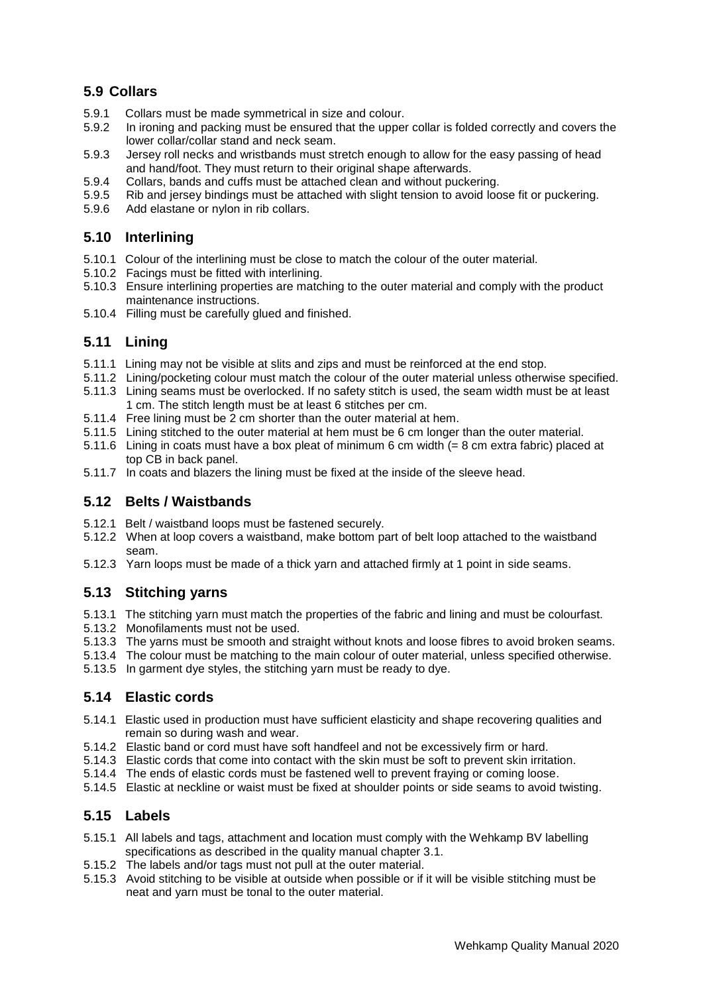## **5.9 Collars**

- 5.9.1 Collars must be made symmetrical in size and colour.
- 5.9.2 In ironing and packing must be ensured that the upper collar is folded correctly and covers the lower collar/collar stand and neck seam.
- 5.9.3 Jersey roll necks and wristbands must stretch enough to allow for the easy passing of head and hand/foot. They must return to their original shape afterwards.
- 5.9.4 Collars, bands and cuffs must be attached clean and without puckering.
- 5.9.5 Rib and jersey bindings must be attached with slight tension to avoid loose fit or puckering.
- 5.9.6 Add elastane or nylon in rib collars.

### **5.10 Interlining**

- 5.10.1 Colour of the interlining must be close to match the colour of the outer material.
- 5.10.2 Facings must be fitted with interlining.
- 5.10.3 Ensure interlining properties are matching to the outer material and comply with the product maintenance instructions.
- 5.10.4 Filling must be carefully glued and finished.

#### **5.11 Lining**

- 5.11.1 Lining may not be visible at slits and zips and must be reinforced at the end stop.
- 5.11.2 Lining/pocketing colour must match the colour of the outer material unless otherwise specified.
- 5.11.3 Lining seams must be overlocked. If no safety stitch is used, the seam width must be at least 1 cm. The stitch length must be at least 6 stitches per cm.
- 5.11.4 Free lining must be 2 cm shorter than the outer material at hem.
- 5.11.5 Lining stitched to the outer material at hem must be 6 cm longer than the outer material.
- 5.11.6 Lining in coats must have a box pleat of minimum 6 cm width (= 8 cm extra fabric) placed at top CB in back panel.
- 5.11.7 In coats and blazers the lining must be fixed at the inside of the sleeve head.

#### **5.12 Belts / Waistbands**

- 5.12.1 Belt / waistband loops must be fastened securely.
- 5.12.2 When at loop covers a waistband, make bottom part of belt loop attached to the waistband seam.
- 5.12.3 Yarn loops must be made of a thick yarn and attached firmly at 1 point in side seams.

#### **5.13 Stitching yarns**

- 5.13.1 The stitching yarn must match the properties of the fabric and lining and must be colourfast.
- 5.13.2 Monofilaments must not be used.
- 5.13.3 The yarns must be smooth and straight without knots and loose fibres to avoid broken seams.
- 5.13.4 The colour must be matching to the main colour of outer material, unless specified otherwise.
- 5.13.5 In garment dye styles, the stitching yarn must be ready to dye.

#### **5.14 Elastic cords**

- 5.14.1 Elastic used in production must have sufficient elasticity and shape recovering qualities and remain so during wash and wear.
- 5.14.2 Elastic band or cord must have soft handfeel and not be excessively firm or hard.
- 5.14.3 Elastic cords that come into contact with the skin must be soft to prevent skin irritation.
- 5.14.4 The ends of elastic cords must be fastened well to prevent fraying or coming loose.
- 5.14.5 Elastic at neckline or waist must be fixed at shoulder points or side seams to avoid twisting.

#### **5.15 Labels**

- 5.15.1 All labels and tags, attachment and location must comply with the Wehkamp BV labelling specifications as described in the quality manual chapter 3.1.
- 5.15.2 The labels and/or tags must not pull at the outer material.
- 5.15.3 Avoid stitching to be visible at outside when possible or if it will be visible stitching must be neat and yarn must be tonal to the outer material.